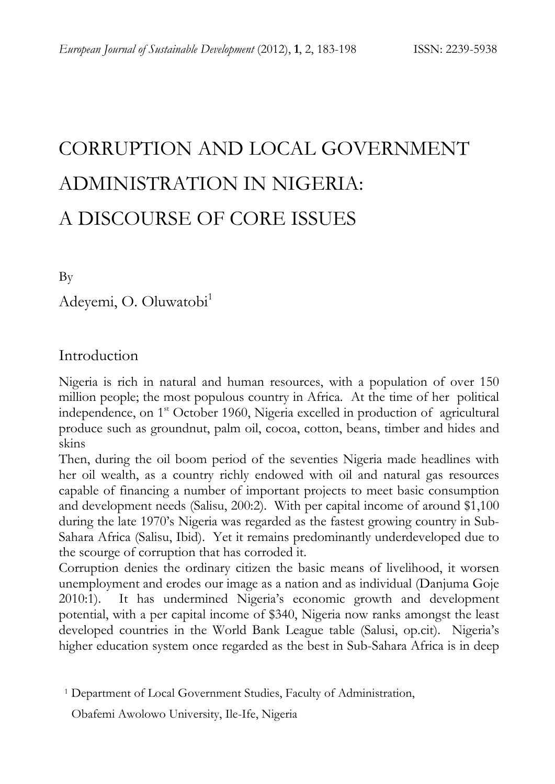# CORRUPTION AND LOCAL GOVERNMENT ADMINISTRATION IN NIGERIA: A DISCOURSE OF CORE ISSUES

By

Adeyemi, O. Oluwatobi<sup>1</sup>

## Introduction

Nigeria is rich in natural and human resources, with a population of over 150 million people; the most populous country in Africa. At the time of her political independence, on 1<sup>st</sup> October 1960, Nigeria excelled in production of agricultural produce such as groundnut, palm oil, cocoa, cotton, beans, timber and hides and skins

Then, during the oil boom period of the seventies Nigeria made headlines with her oil wealth, as a country richly endowed with oil and natural gas resources capable of financing a number of important projects to meet basic consumption and development needs (Salisu, 200:2). With per capital income of around \$1,100 during the late 1970's Nigeria was regarded as the fastest growing country in Sub-Sahara Africa (Salisu, Ibid). Yet it remains predominantly underdeveloped due to the scourge of corruption that has corroded it.

Corruption denies the ordinary citizen the basic means of livelihood, it worsen unemployment and erodes our image as a nation and as individual (Danjuma Goje 2010:1). It has undermined Nigeria's economic growth and development potential, with a per capital income of \$340, Nigeria now ranks amongst the least developed countries in the World Bank League table (Salusi, op.cit). Nigeria's higher education system once regarded as the best in Sub-Sahara Africa is in deep

Obafemi Awolowo University, Ile-Ife, Nigeria

<sup>&</sup>lt;sup>1</sup> Department of Local Government Studies, Faculty of Administration,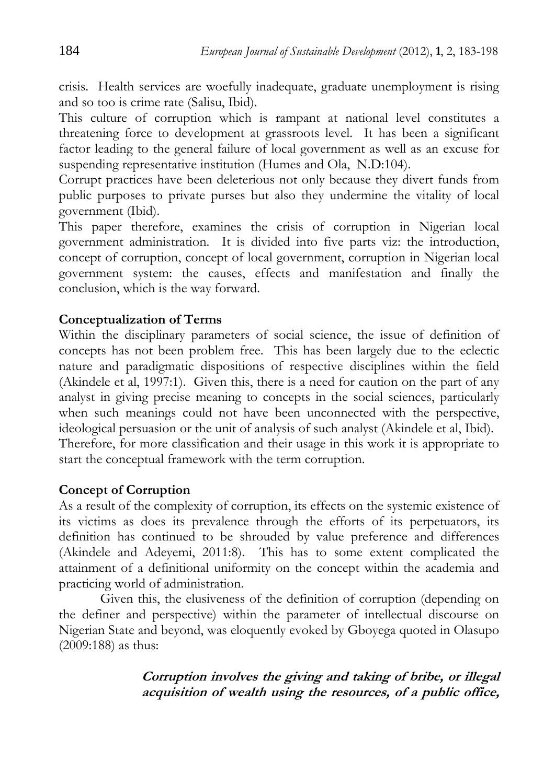crisis. Health services are woefully inadequate, graduate unemployment is rising and so too is crime rate (Salisu, Ibid).

This culture of corruption which is rampant at national level constitutes a threatening force to development at grassroots level. It has been a significant factor leading to the general failure of local government as well as an excuse for suspending representative institution (Humes and Ola, N.D:104).

Corrupt practices have been deleterious not only because they divert funds from public purposes to private purses but also they undermine the vitality of local government (Ibid).

This paper therefore, examines the crisis of corruption in Nigerian local government administration. It is divided into five parts viz: the introduction, concept of corruption, concept of local government, corruption in Nigerian local government system: the causes, effects and manifestation and finally the conclusion, which is the way forward.

#### **Conceptualization of Terms**

Within the disciplinary parameters of social science, the issue of definition of concepts has not been problem free. This has been largely due to the eclectic nature and paradigmatic dispositions of respective disciplines within the field (Akindele et al, 1997:1). Given this, there is a need for caution on the part of any analyst in giving precise meaning to concepts in the social sciences, particularly when such meanings could not have been unconnected with the perspective, ideological persuasion or the unit of analysis of such analyst (Akindele et al, Ibid). Therefore, for more classification and their usage in this work it is appropriate to start the conceptual framework with the term corruption.

#### **Concept of Corruption**

As a result of the complexity of corruption, its effects on the systemic existence of its victims as does its prevalence through the efforts of its perpetuators, its definition has continued to be shrouded by value preference and differences (Akindele and Adeyemi, 2011:8). This has to some extent complicated the attainment of a definitional uniformity on the concept within the academia and practicing world of administration.

Given this, the elusiveness of the definition of corruption (depending on the definer and perspective) within the parameter of intellectual discourse on Nigerian State and beyond, was eloquently evoked by Gboyega quoted in Olasupo (2009:188) as thus:

> **Corruption involves the giving and taking of bribe, or illegal acquisition of wealth using the resources, of a public office,**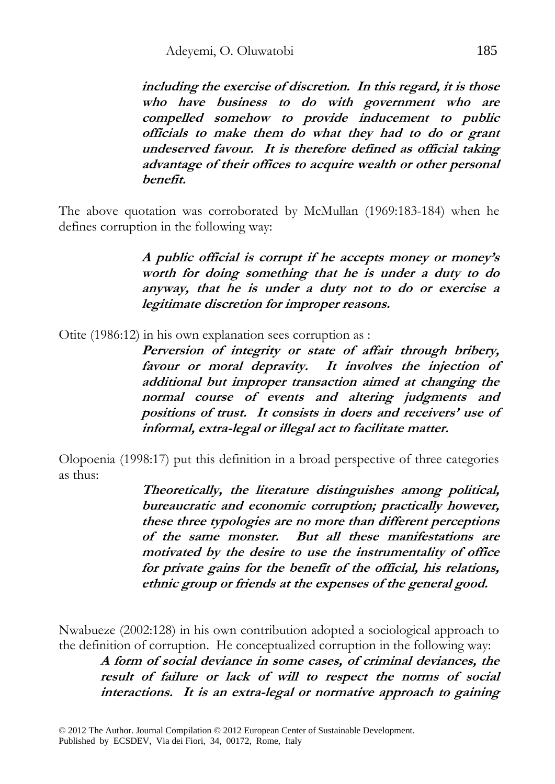**including the exercise of discretion. In this regard, it is those who have business to do with government who are compelled somehow to provide inducement to public officials to make them do what they had to do or grant undeserved favour. It is therefore defined as official taking advantage of their offices to acquire wealth or other personal benefit.** 

The above quotation was corroborated by McMullan (1969:183-184) when he defines corruption in the following way:

> **A public official is corrupt if he accepts money or money's worth for doing something that he is under a duty to do anyway, that he is under a duty not to do or exercise a legitimate discretion for improper reasons.**

Otite (1986:12) in his own explanation sees corruption as :

**Perversion of integrity or state of affair through bribery, favour or moral depravity. It involves the injection of additional but improper transaction aimed at changing the normal course of events and altering judgments and positions of trust. It consists in doers and receivers' use of informal, extra-legal or illegal act to facilitate matter.** 

Olopoenia (1998:17) put this definition in a broad perspective of three categories as thus:

> **Theoretically, the literature distinguishes among political, bureaucratic and economic corruption; practically however, these three typologies are no more than different perceptions of the same monster. But all these manifestations are motivated by the desire to use the instrumentality of office for private gains for the benefit of the official, his relations, ethnic group or friends at the expenses of the general good.**

Nwabueze (2002:128) in his own contribution adopted a sociological approach to the definition of corruption. He conceptualized corruption in the following way:

**A form of social deviance in some cases, of criminal deviances, the result of failure or lack of will to respect the norms of social interactions. It is an extra-legal or normative approach to gaining**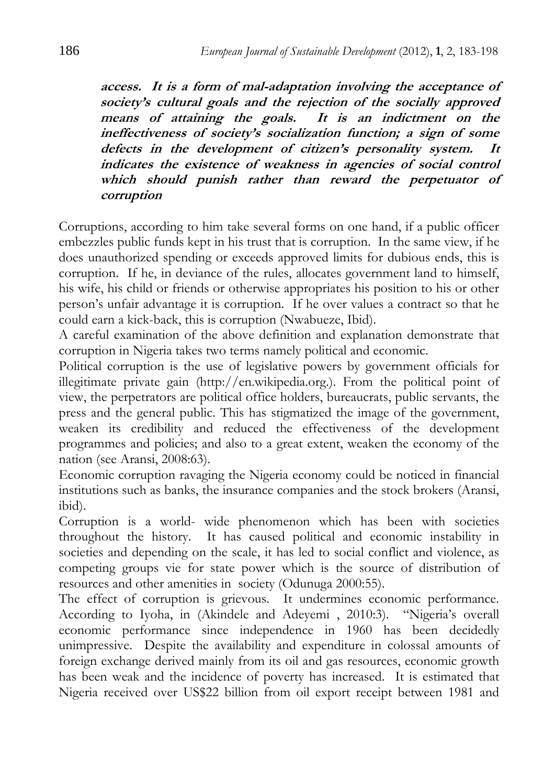**access. It is a form of mal-adaptation involving the acceptance of society's cultural goals and the rejection of the socially approved means of attaining the goals. It is an indictment on the ineffectiveness of society's socialization function; a sign of some defects in the development of citizen's personality system. It indicates the existence of weakness in agencies of social control which should punish rather than reward the perpetuator of corruption** 

Corruptions, according to him take several forms on one hand, if a public officer embezzles public funds kept in his trust that is corruption. In the same view, if he does unauthorized spending or exceeds approved limits for dubious ends, this is corruption. If he, in deviance of the rules, allocates government land to himself, his wife, his child or friends or otherwise appropriates his position to his or other person's unfair advantage it is corruption. If he over values a contract so that he could earn a kick-back, this is corruption (Nwabueze, Ibid).

A careful examination of the above definition and explanation demonstrate that corruption in Nigeria takes two terms namely political and economic.

Political corruption is the use of legislative powers by government officials for illegitimate private gain (http://en.wikipedia.org.). From the political point of view, the perpetrators are political office holders, bureaucrats, public servants, the press and the general public. This has stigmatized the image of the government, weaken its credibility and reduced the effectiveness of the development programmes and policies; and also to a great extent, weaken the economy of the nation (see Aransi, 2008:63).

Economic corruption ravaging the Nigeria economy could be noticed in financial institutions such as banks, the insurance companies and the stock brokers (Aransi, ibid).

Corruption is a world- wide phenomenon which has been with societies throughout the history. It has caused political and economic instability in societies and depending on the scale, it has led to social conflict and violence, as competing groups vie for state power which is the source of distribution of resources and other amenities in society (Odunuga 2000:55).

The effect of corruption is grievous. It undermines economic performance. According to Iyoha, in (Akindele and Adeyemi , 2010:3). "Nigeria's overall economic performance since independence in 1960 has been decidedly unimpressive. Despite the availability and expenditure in colossal amounts of foreign exchange derived mainly from its oil and gas resources, economic growth has been weak and the incidence of poverty has increased. It is estimated that Nigeria received over US\$22 billion from oil export receipt between 1981 and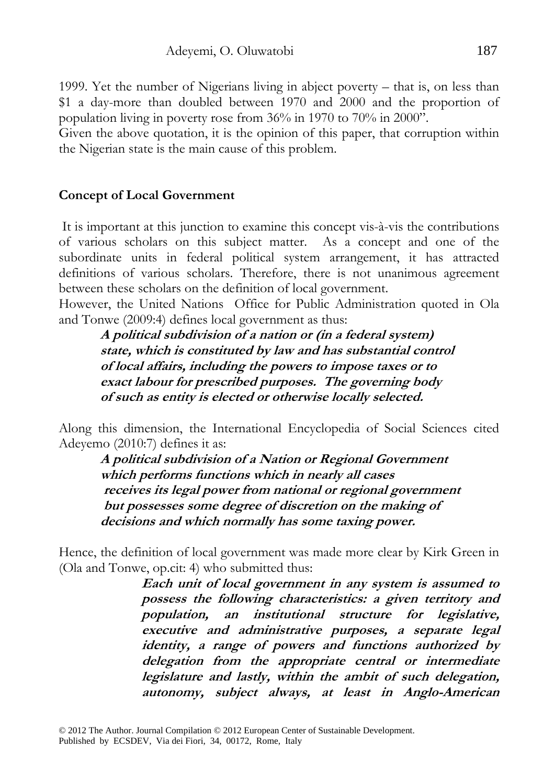1999. Yet the number of Nigerians living in abject poverty – that is, on less than \$1 a day-more than doubled between 1970 and 2000 and the proportion of population living in poverty rose from 36% in 1970 to 70% in 2000".

Given the above quotation, it is the opinion of this paper, that corruption within the Nigerian state is the main cause of this problem.

#### **Concept of Local Government**

 It is important at this junction to examine this concept vis-à-vis the contributions of various scholars on this subject matter. As a concept and one of the subordinate units in federal political system arrangement, it has attracted definitions of various scholars. Therefore, there is not unanimous agreement between these scholars on the definition of local government.

However, the United Nations Office for Public Administration quoted in Ola and Tonwe (2009:4) defines local government as thus:

**A political subdivision of a nation or (in a federal system) state, which is constituted by law and has substantial control of local affairs, including the powers to impose taxes or to exact labour for prescribed purposes. The governing body of such as entity is elected or otherwise locally selected.** 

Along this dimension, the International Encyclopedia of Social Sciences cited Adeyemo (2010:7) defines it as:

**A political subdivision of a Nation or Regional Government which performs functions which in nearly all cases receives its legal power from national or regional government but possesses some degree of discretion on the making of decisions and which normally has some taxing power.** 

Hence, the definition of local government was made more clear by Kirk Green in (Ola and Tonwe, op.cit: 4) who submitted thus:

> **Each unit of local government in any system is assumed to possess the following characteristics: a given territory and population, an institutional structure for legislative, executive and administrative purposes, a separate legal identity, a range of powers and functions authorized by delegation from the appropriate central or intermediate legislature and lastly, within the ambit of such delegation, autonomy, subject always, at least in Anglo-American**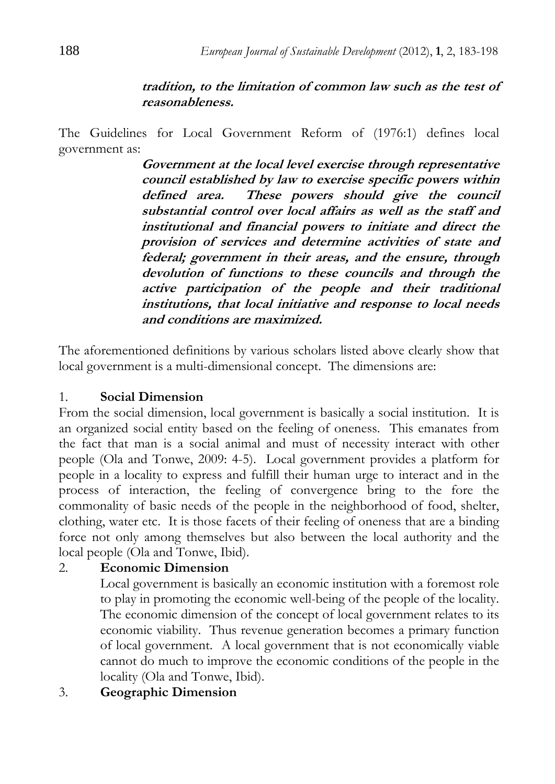#### **tradition, to the limitation of common law such as the test of reasonableness.**

The Guidelines for Local Government Reform of (1976:1) defines local government as:

> **Government at the local level exercise through representative council established by law to exercise specific powers within defined area. These powers should give the council substantial control over local affairs as well as the staff and institutional and financial powers to initiate and direct the provision of services and determine activities of state and federal; government in their areas, and the ensure, through devolution of functions to these councils and through the active participation of the people and their traditional institutions, that local initiative and response to local needs and conditions are maximized.**

The aforementioned definitions by various scholars listed above clearly show that local government is a multi-dimensional concept. The dimensions are:

#### 1. **Social Dimension**

From the social dimension, local government is basically a social institution. It is an organized social entity based on the feeling of oneness. This emanates from the fact that man is a social animal and must of necessity interact with other people (Ola and Tonwe, 2009: 4-5). Local government provides a platform for people in a locality to express and fulfill their human urge to interact and in the process of interaction, the feeling of convergence bring to the fore the commonality of basic needs of the people in the neighborhood of food, shelter, clothing, water etc. It is those facets of their feeling of oneness that are a binding force not only among themselves but also between the local authority and the local people (Ola and Tonwe, Ibid).

#### 2. **Economic Dimension**

Local government is basically an economic institution with a foremost role to play in promoting the economic well-being of the people of the locality. The economic dimension of the concept of local government relates to its economic viability. Thus revenue generation becomes a primary function of local government. A local government that is not economically viable cannot do much to improve the economic conditions of the people in the locality (Ola and Tonwe, Ibid).

3. **Geographic Dimension**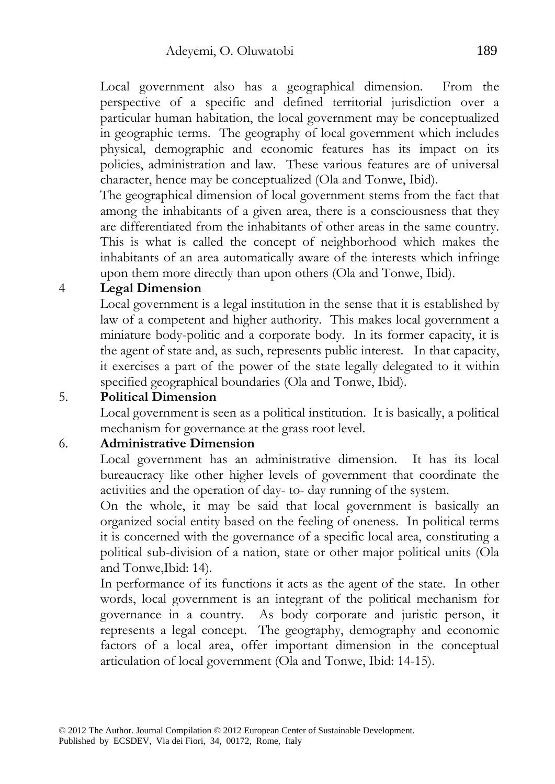Local government also has a geographical dimension. From the perspective of a specific and defined territorial jurisdiction over a particular human habitation, the local government may be conceptualized in geographic terms. The geography of local government which includes physical, demographic and economic features has its impact on its policies, administration and law. These various features are of universal character, hence may be conceptualized (Ola and Tonwe, Ibid).

The geographical dimension of local government stems from the fact that among the inhabitants of a given area, there is a consciousness that they are differentiated from the inhabitants of other areas in the same country. This is what is called the concept of neighborhood which makes the inhabitants of an area automatically aware of the interests which infringe upon them more directly than upon others (Ola and Tonwe, Ibid).

#### 4 **Legal Dimension**

Local government is a legal institution in the sense that it is established by law of a competent and higher authority. This makes local government a miniature body-politic and a corporate body. In its former capacity, it is the agent of state and, as such, represents public interest. In that capacity, it exercises a part of the power of the state legally delegated to it within specified geographical boundaries (Ola and Tonwe, Ibid).

#### 5. **Political Dimension**

Local government is seen as a political institution. It is basically, a political mechanism for governance at the grass root level.

#### 6. **Administrative Dimension**

Local government has an administrative dimension. It has its local bureaucracy like other higher levels of government that coordinate the activities and the operation of day- to- day running of the system.

On the whole, it may be said that local government is basically an organized social entity based on the feeling of oneness. In political terms it is concerned with the governance of a specific local area, constituting a political sub-division of a nation, state or other major political units (Ola and Tonwe,Ibid: 14).

In performance of its functions it acts as the agent of the state. In other words, local government is an integrant of the political mechanism for governance in a country. As body corporate and juristic person, it represents a legal concept. The geography, demography and economic factors of a local area, offer important dimension in the conceptual articulation of local government (Ola and Tonwe, Ibid: 14-15).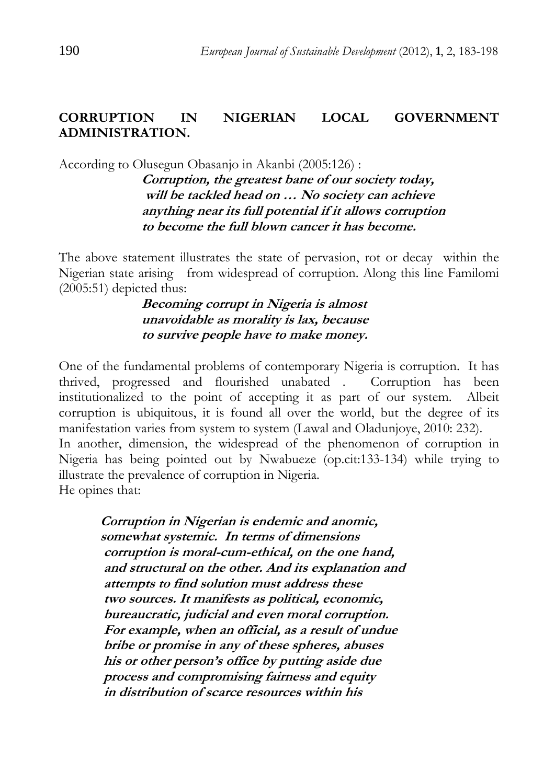#### **CORRUPTION IN NIGERIAN LOCAL GOVERNMENT ADMINISTRATION.**

According to Olusegun Obasanjo in Akanbi (2005:126) :

**Corruption, the greatest bane of our society today, will be tackled head on … No society can achieve anything near its full potential if it allows corruption to become the full blown cancer it has become.** 

The above statement illustrates the state of pervasion, rot or decay within the Nigerian state arising from widespread of corruption. Along this line Familomi (2005:51) depicted thus:

> **Becoming corrupt in Nigeria is almost unavoidable as morality is lax, because to survive people have to make money.**

One of the fundamental problems of contemporary Nigeria is corruption. It has thrived, progressed and flourished unabated . Corruption has been institutionalized to the point of accepting it as part of our system. Albeit corruption is ubiquitous, it is found all over the world, but the degree of its manifestation varies from system to system (Lawal and Oladunjoye, 2010: 232). In another, dimension, the widespread of the phenomenon of corruption in Nigeria has being pointed out by Nwabueze (op.cit:133-134) while trying to illustrate the prevalence of corruption in Nigeria. He opines that:

**Corruption in Nigerian is endemic and anomic, somewhat systemic. In terms of dimensions corruption is moral-cum-ethical, on the one hand, and structural on the other. And its explanation and attempts to find solution must address these two sources. It manifests as political, economic, bureaucratic, judicial and even moral corruption. For example, when an official, as a result of undue bribe or promise in any of these spheres, abuses his or other person's office by putting aside due process and compromising fairness and equity in distribution of scarce resources within his**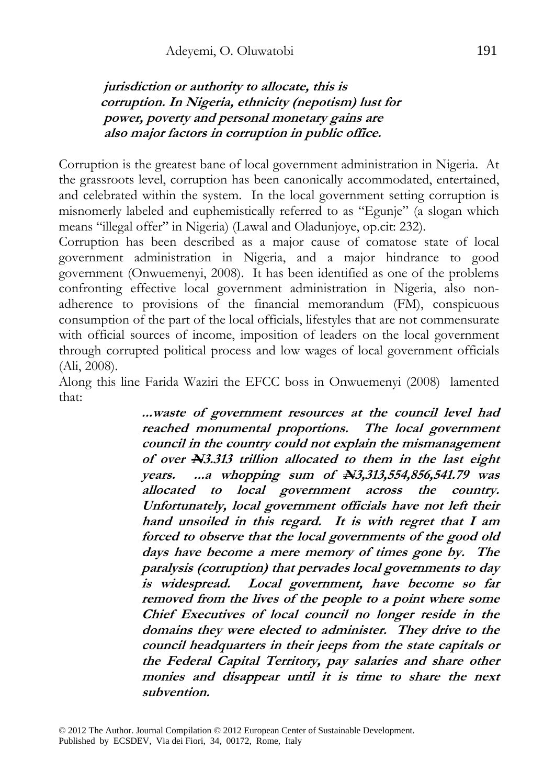#### **jurisdiction or authority to allocate, this is corruption. In Nigeria, ethnicity (nepotism) lust for power, poverty and personal monetary gains are also major factors in corruption in public office.**

Corruption is the greatest bane of local government administration in Nigeria. At the grassroots level, corruption has been canonically accommodated, entertained, and celebrated within the system. In the local government setting corruption is misnomerly labeled and euphemistically referred to as "Egunje" (a slogan which means "illegal offer" in Nigeria) (Lawal and Oladunjoye, op.cit: 232).

Corruption has been described as a major cause of comatose state of local government administration in Nigeria, and a major hindrance to good government (Onwuemenyi, 2008). It has been identified as one of the problems confronting effective local government administration in Nigeria, also nonadherence to provisions of the financial memorandum (FM), conspicuous consumption of the part of the local officials, lifestyles that are not commensurate with official sources of income, imposition of leaders on the local government through corrupted political process and low wages of local government officials (Ali, 2008).

Along this line Farida Waziri the EFCC boss in Onwuemenyi (2008) lamented that:

> **...waste of government resources at the council level had reached monumental proportions. The local government council in the country could not explain the mismanagement of over N3.313 trillion allocated to them in the last eight years. ...a whopping sum of N3,313,554,856,541.79 was allocated to local government across the country. Unfortunately, local government officials have not left their hand unsoiled in this regard. It is with regret that I am forced to observe that the local governments of the good old days have become a mere memory of times gone by. The paralysis (corruption) that pervades local governments to day is widespread. Local government, have become so far removed from the lives of the people to a point where some Chief Executives of local council no longer reside in the domains they were elected to administer. They drive to the council headquarters in their jeeps from the state capitals or the Federal Capital Territory, pay salaries and share other monies and disappear until it is time to share the next subvention.**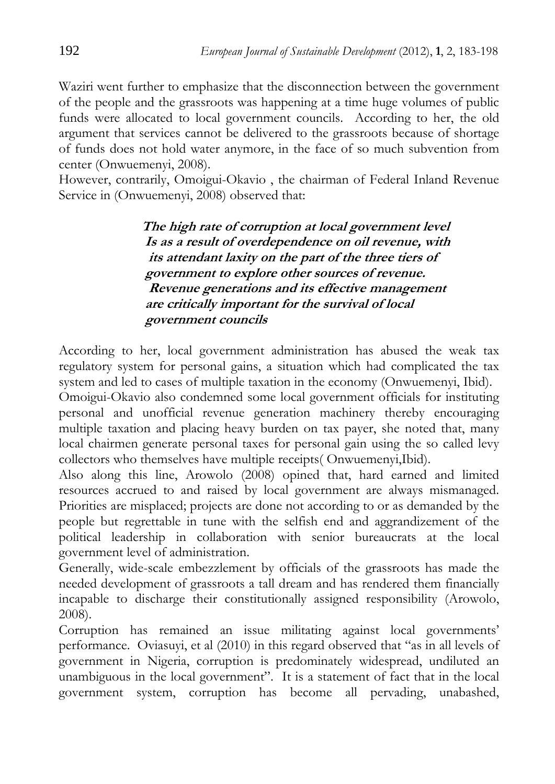Waziri went further to emphasize that the disconnection between the government of the people and the grassroots was happening at a time huge volumes of public funds were allocated to local government councils. According to her, the old argument that services cannot be delivered to the grassroots because of shortage of funds does not hold water anymore, in the face of so much subvention from center (Onwuemenyi, 2008).

However, contrarily, Omoigui-Okavio , the chairman of Federal Inland Revenue Service in (Onwuemenyi, 2008) observed that:

> **The high rate of corruption at local government level Is as a result of overdependence on oil revenue, with its attendant laxity on the part of the three tiers of government to explore other sources of revenue. Revenue generations and its effective management are critically important for the survival of local government councils**

According to her, local government administration has abused the weak tax regulatory system for personal gains, a situation which had complicated the tax system and led to cases of multiple taxation in the economy (Onwuemenyi, Ibid).

Omoigui-Okavio also condemned some local government officials for instituting personal and unofficial revenue generation machinery thereby encouraging multiple taxation and placing heavy burden on tax payer, she noted that, many local chairmen generate personal taxes for personal gain using the so called levy collectors who themselves have multiple receipts( Onwuemenyi,Ibid).

Also along this line, Arowolo (2008) opined that, hard earned and limited resources accrued to and raised by local government are always mismanaged. Priorities are misplaced; projects are done not according to or as demanded by the people but regrettable in tune with the selfish end and aggrandizement of the political leadership in collaboration with senior bureaucrats at the local government level of administration.

Generally, wide-scale embezzlement by officials of the grassroots has made the needed development of grassroots a tall dream and has rendered them financially incapable to discharge their constitutionally assigned responsibility (Arowolo, 2008).

Corruption has remained an issue militating against local governments' performance. Oviasuyi, et al (2010) in this regard observed that "as in all levels of government in Nigeria, corruption is predominately widespread, undiluted an unambiguous in the local government". It is a statement of fact that in the local government system, corruption has become all pervading, unabashed,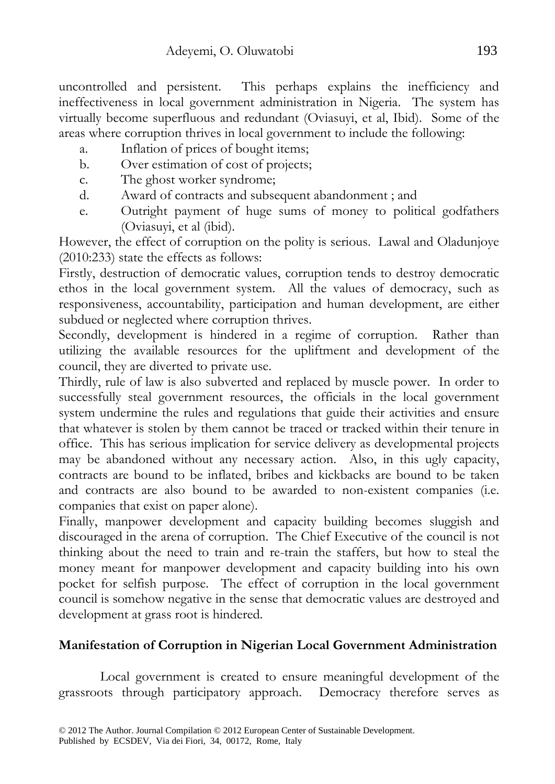uncontrolled and persistent. This perhaps explains the inefficiency and ineffectiveness in local government administration in Nigeria. The system has virtually become superfluous and redundant (Oviasuyi, et al, Ibid). Some of the areas where corruption thrives in local government to include the following:

- a. Inflation of prices of bought items;
- b. Over estimation of cost of projects;
- c. The ghost worker syndrome;
- d. Award of contracts and subsequent abandonment ; and
- e. Outright payment of huge sums of money to political godfathers (Oviasuyi, et al (ibid).

However, the effect of corruption on the polity is serious. Lawal and Oladunjoye (2010:233) state the effects as follows:

Firstly, destruction of democratic values, corruption tends to destroy democratic ethos in the local government system. All the values of democracy, such as responsiveness, accountability, participation and human development, are either subdued or neglected where corruption thrives.

Secondly, development is hindered in a regime of corruption. Rather than utilizing the available resources for the upliftment and development of the council, they are diverted to private use.

Thirdly, rule of law is also subverted and replaced by muscle power. In order to successfully steal government resources, the officials in the local government system undermine the rules and regulations that guide their activities and ensure that whatever is stolen by them cannot be traced or tracked within their tenure in office. This has serious implication for service delivery as developmental projects may be abandoned without any necessary action. Also, in this ugly capacity, contracts are bound to be inflated, bribes and kickbacks are bound to be taken and contracts are also bound to be awarded to non-existent companies (i.e. companies that exist on paper alone).

Finally, manpower development and capacity building becomes sluggish and discouraged in the arena of corruption. The Chief Executive of the council is not thinking about the need to train and re-train the staffers, but how to steal the money meant for manpower development and capacity building into his own pocket for selfish purpose. The effect of corruption in the local government council is somehow negative in the sense that democratic values are destroyed and development at grass root is hindered.

### **Manifestation of Corruption in Nigerian Local Government Administration**

Local government is created to ensure meaningful development of the grassroots through participatory approach. Democracy therefore serves as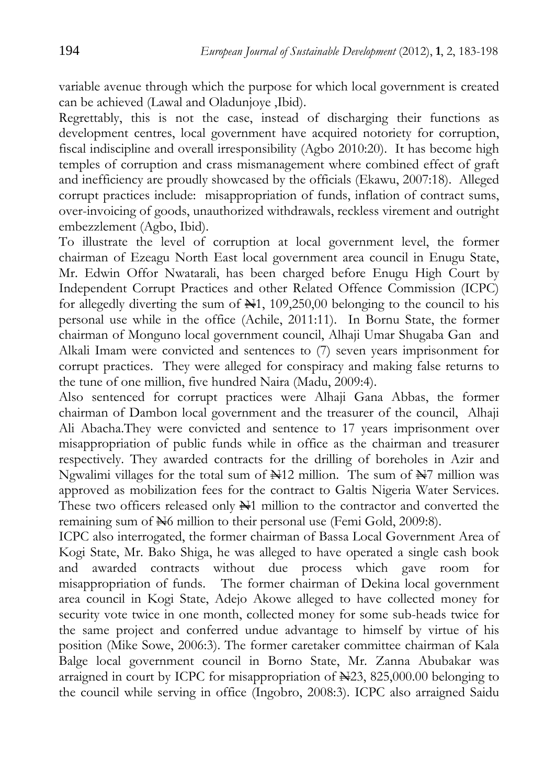variable avenue through which the purpose for which local government is created can be achieved (Lawal and Oladunjoye ,Ibid).

Regrettably, this is not the case, instead of discharging their functions as development centres, local government have acquired notoriety for corruption, fiscal indiscipline and overall irresponsibility (Agbo 2010:20). It has become high temples of corruption and crass mismanagement where combined effect of graft and inefficiency are proudly showcased by the officials (Ekawu, 2007:18). Alleged corrupt practices include: misappropriation of funds, inflation of contract sums, over-invoicing of goods, unauthorized withdrawals, reckless virement and outright embezzlement (Agbo, Ibid).

To illustrate the level of corruption at local government level, the former chairman of Ezeagu North East local government area council in Enugu State, Mr. Edwin Offor Nwatarali, has been charged before Enugu High Court by Independent Corrupt Practices and other Related Offence Commission (ICPC) for allegedly diverting the sum of  $\mathbb{H}1$ , 109,250,00 belonging to the council to his personal use while in the office (Achile, 2011:11). In Bornu State, the former chairman of Monguno local government council, Alhaji Umar Shugaba Gan and Alkali Imam were convicted and sentences to (7) seven years imprisonment for corrupt practices. They were alleged for conspiracy and making false returns to the tune of one million, five hundred Naira (Madu, 2009:4).

Also sentenced for corrupt practices were Alhaji Gana Abbas, the former chairman of Dambon local government and the treasurer of the council, Alhaji Ali Abacha.They were convicted and sentence to 17 years imprisonment over misappropriation of public funds while in office as the chairman and treasurer respectively. They awarded contracts for the drilling of boreholes in Azir and Ngwalimi villages for the total sum of  $\frac{1}{2}$  million. The sum of  $\frac{1}{2}$  million was approved as mobilization fees for the contract to Galtis Nigeria Water Services. These two officers released only  $\mathbb{H}1$  million to the contractor and converted the remaining sum of  $\cancel{\text{H}}_6$  million to their personal use (Femi Gold, 2009:8).

ICPC also interrogated, the former chairman of Bassa Local Government Area of Kogi State, Mr. Bako Shiga, he was alleged to have operated a single cash book and awarded contracts without due process which gave room for misappropriation of funds. The former chairman of Dekina local government area council in Kogi State, Adejo Akowe alleged to have collected money for security vote twice in one month, collected money for some sub-heads twice for the same project and conferred undue advantage to himself by virtue of his position (Mike Sowe, 2006:3). The former caretaker committee chairman of Kala Balge local government council in Borno State, Mr. Zanna Abubakar was arraigned in court by ICPC for misappropriation of N23, 825,000.00 belonging to the council while serving in office (Ingobro, 2008:3). ICPC also arraigned Saidu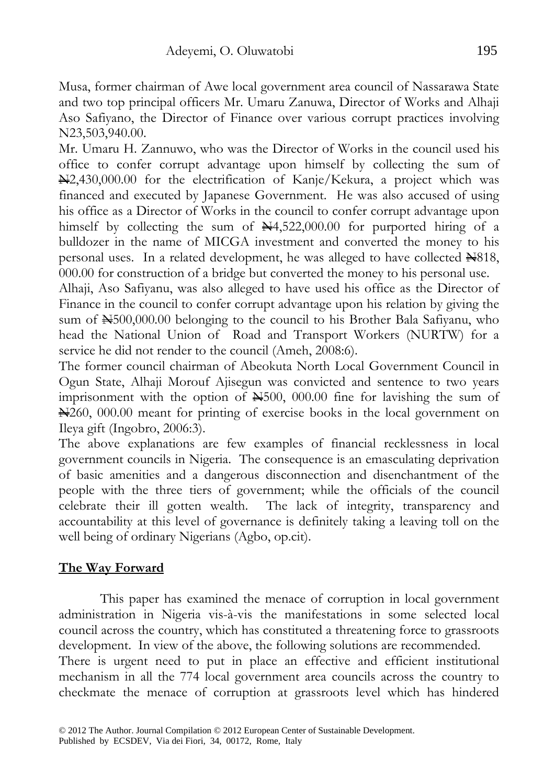Musa, former chairman of Awe local government area council of Nassarawa State and two top principal officers Mr. Umaru Zanuwa, Director of Works and Alhaji Aso Safiyano, the Director of Finance over various corrupt practices involving N23,503,940.00.

Mr. Umaru H. Zannuwo, who was the Director of Works in the council used his office to confer corrupt advantage upon himself by collecting the sum of N2,430,000.00 for the electrification of Kanje/Kekura, a project which was financed and executed by Japanese Government. He was also accused of using his office as a Director of Works in the council to confer corrupt advantage upon himself by collecting the sum of  $\mathbb{N}4,522,000.00$  for purported hiring of a bulldozer in the name of MICGA investment and converted the money to his personal uses. In a related development, he was alleged to have collected  $\triangle 818$ , 000.00 for construction of a bridge but converted the money to his personal use.

Alhaji, Aso Safiyanu, was also alleged to have used his office as the Director of Finance in the council to confer corrupt advantage upon his relation by giving the sum of  $\mathbb{H}500,000.00$  belonging to the council to his Brother Bala Safiyanu, who head the National Union of Road and Transport Workers (NURTW) for a service he did not render to the council (Ameh, 2008:6).

The former council chairman of Abeokuta North Local Government Council in Ogun State, Alhaji Morouf Ajisegun was convicted and sentence to two years imprisonment with the option of  $\mathbb{H}500$ , 000.00 fine for lavishing the sum of N260, 000.00 meant for printing of exercise books in the local government on Ileya gift (Ingobro, 2006:3).

The above explanations are few examples of financial recklessness in local government councils in Nigeria. The consequence is an emasculating deprivation of basic amenities and a dangerous disconnection and disenchantment of the people with the three tiers of government; while the officials of the council celebrate their ill gotten wealth. The lack of integrity, transparency and accountability at this level of governance is definitely taking a leaving toll on the well being of ordinary Nigerians (Agbo, op.cit).

#### **The Way Forward**

This paper has examined the menace of corruption in local government administration in Nigeria vis-à-vis the manifestations in some selected local council across the country, which has constituted a threatening force to grassroots development. In view of the above, the following solutions are recommended.

There is urgent need to put in place an effective and efficient institutional mechanism in all the 774 local government area councils across the country to checkmate the menace of corruption at grassroots level which has hindered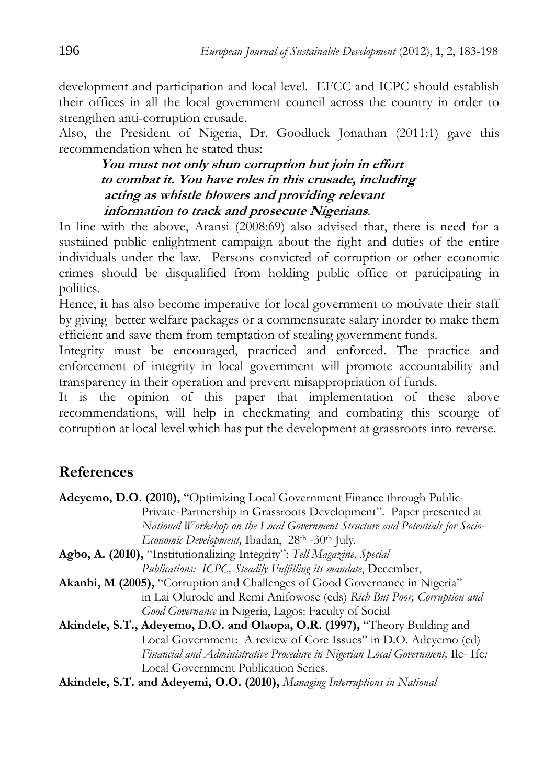development and participation and local level. EFCC and ICPC should establish their offices in all the local government council across the country in order to strengthen anti-corruption crusade.

Also, the President of Nigeria, Dr. Goodluck Jonathan (2011:1) gave this recommendation when he stated thus:

#### **You must not only shun corruption but join in effort to combat it. You have roles in this crusade, including acting as whistle blowers and providing relevant information to track and prosecute Nigerians**.

In line with the above, Aransi (2008:69) also advised that, there is need for a sustained public enlightment campaign about the right and duties of the entire individuals under the law. Persons convicted of corruption or other economic crimes should be disqualified from holding public office or participating in politics.

Hence, it has also become imperative for local government to motivate their staff by giving better welfare packages or a commensurate salary inorder to make them efficient and save them from temptation of stealing government funds.

Integrity must be encouraged, practiced and enforced. The practice and enforcement of integrity in local government will promote accountability and transparency in their operation and prevent misappropriation of funds.

It is the opinion of this paper that implementation of these above recommendations, will help in checkmating and combating this scourge of corruption at local level which has put the development at grassroots into reverse.

# **References**

**Akindele, S.T. and Adeyemi, O.O. (2010),** *Managing Interruptions in National*